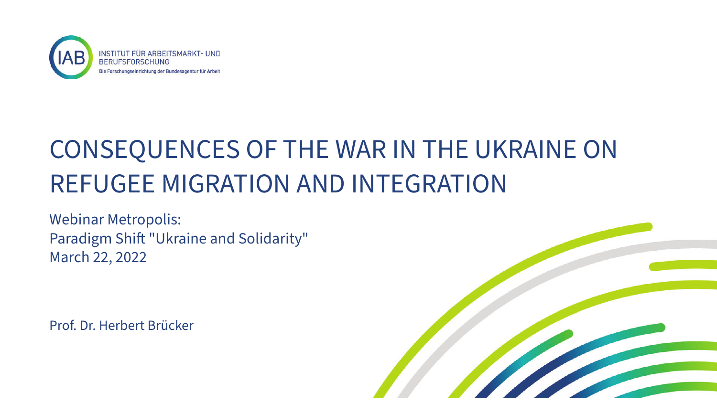

# CONSEQUENCES OF THE WAR IN THE UKRAINE ON REFUGEE MIGRATION AND INTEGRATION

Webinar Metropolis: Paradigm Shift "Ukraine and Solidarity" March 22, 2022

Prof. Dr. Herbert Brücker

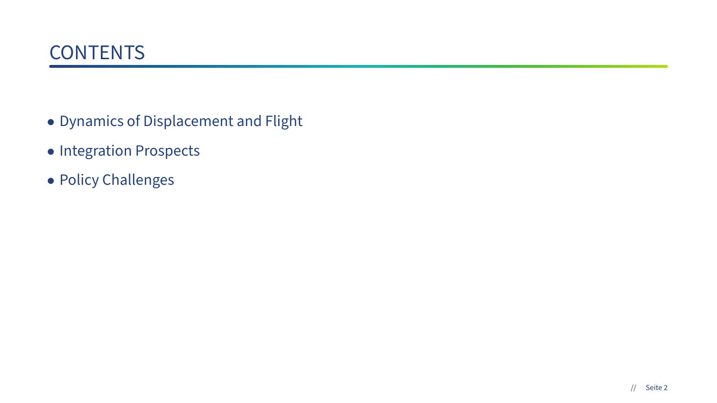- Dynamics of Displacement and Flight
- Integration Prospects
- Policy Challenges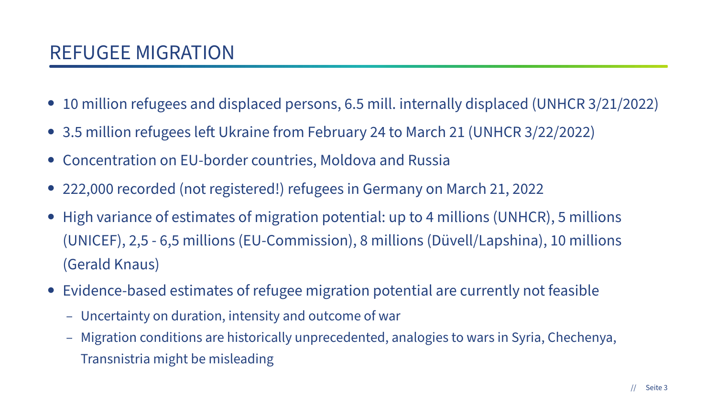- 10 million refugees and displaced persons, 6.5 mill. internally displaced (UNHCR 3/21/2022)
- 3.5 million refugees left Ukraine from February 24 to March 21 (UNHCR 3/22/2022)
- Concentration on EU-border countries, Moldova and Russia
- 222,000 recorded (not registered!) refugees in Germany on March 21, 2022
- High variance of estimates of migration potential: up to 4 millions (UNHCR), 5 millions (UNICEF), 2,5 - 6,5 millions (EU-Commission), 8 millions (Düvell/Lapshina), 10 millions (Gerald Knaus)
- Evidence-based estimates of refugee migration potential are currently not feasible
	- Uncertainty on duration, intensity and outcome of war
	- Migration conditions are historically unprecedented, analogies to wars in Syria, Chechenya, Transnistria might be misleading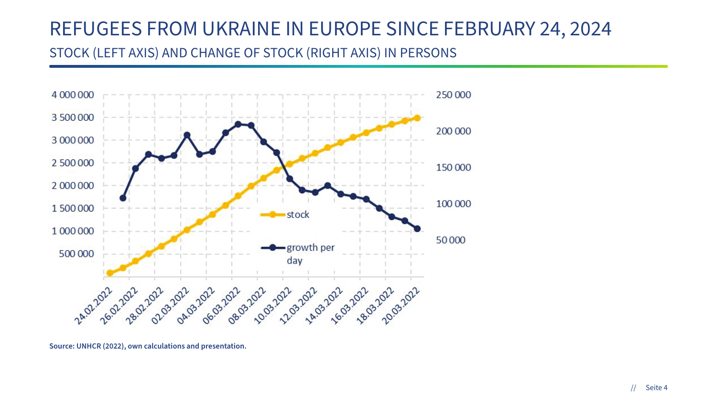### REFUGEES FROM UKRAINE IN EUROPE SINCE FEBRUARY 24, 2024

#### STOCK (LEFT AXIS) AND CHANGE OF STOCK (RIGHT AXIS) IN PERSONS



**Source: UNHCR (2022), own calculations and presentation.**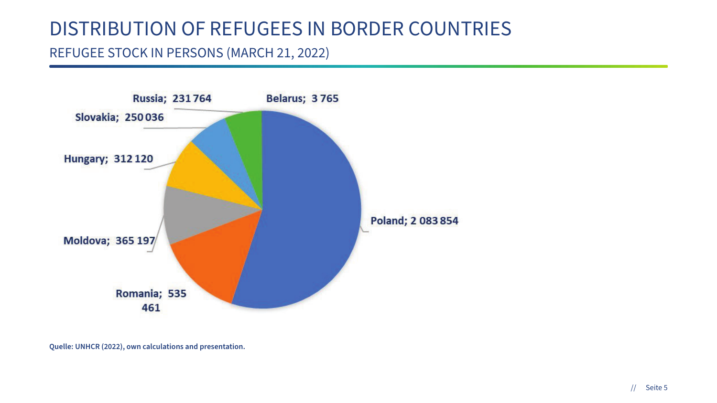### DISTRIBUTION OF REFUGEES IN BORDER COUNTRIES

#### REFUGEE STOCK IN PERSONS (MARCH 21, 2022)



**Quelle: UNHCR (2022), own calculations and presentation.**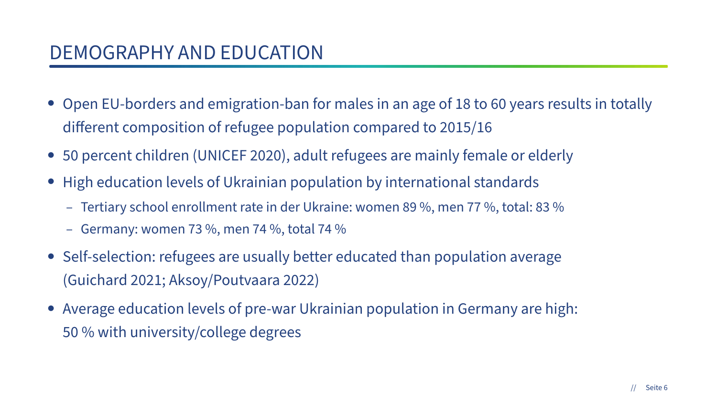- Open EU-borders and emigration-ban for males in an age of 18 to 60 years results in totally diferent composition of refugee population compared to 2015/16
- 50 percent children (UNICEF 2020), adult refugees are mainly female or elderly
- High education levels of Ukrainian population by international standards
	- Tertiary school enrollment rate in der Ukraine: women 89 %, men 77 %, total: 83 %
	- Germany: women 73 %, men 74 %, total 74 %
- Self-selection: refugees are usually better educated than population average (Guichard 2021; Aksoy/Poutvaara 2022)
- Average education levels of pre-war Ukrainian population in Germany are high: 50 % with university/college degrees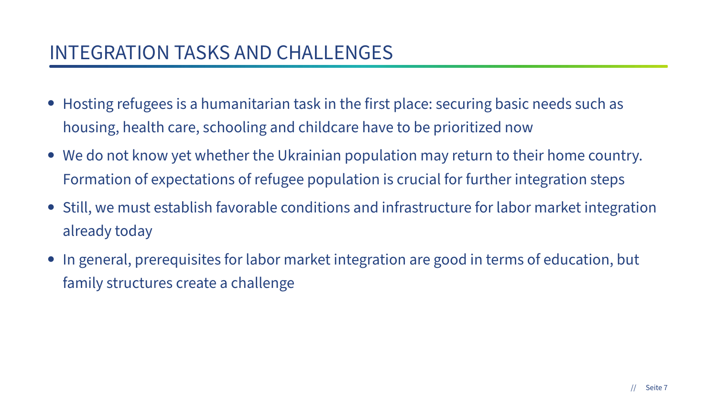### INTEGRATION TASKS AND CHALLENGES

- Hosting refugees is a humanitarian task in the first place: securing basic needs such as housing, health care, schooling and childcare have to be prioritized now
- We do not know yet whether the Ukrainian population may return to their home country. Formation of expectations of refugee population is crucial for further integration steps
- Still, we must establish favorable conditions and infrastructure for labor market integration already today
- In general, prerequisites for labor market integration are good in terms of education, but family structures create a challenge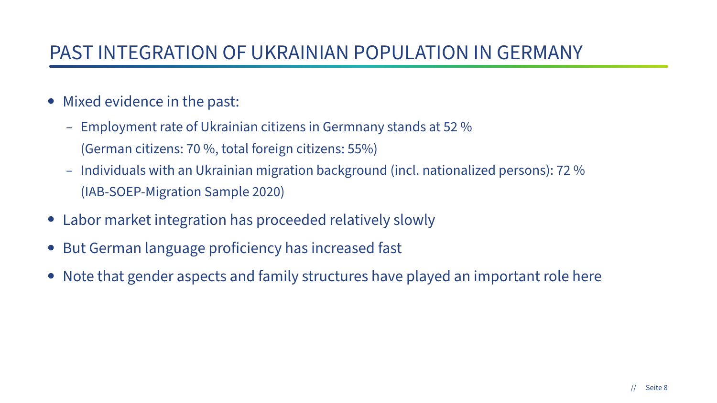### PAST INTEGRATION OF UKRAINIAN POPULATION IN GERMANY

- Mixed evidence in the past:
	- Employment rate of Ukrainian citizens in Germnany stands at 52 % (German citizens: 70 %, total foreign citizens: 55%)
	- Individuals with an Ukrainian migration background (incl. nationalized persons): 72 % (IAB-SOEP-Migration Sample 2020)
- Labor market integration has proceeded relatively slowly
- But German language proficiency has increased fast
- Note that gender aspects and family structures have played an important role here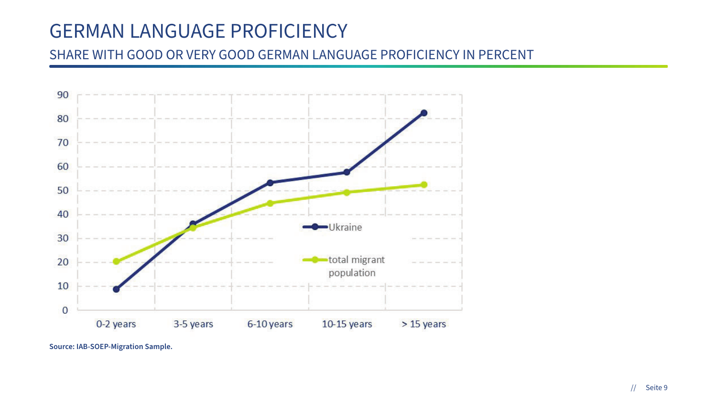### GERMAN LANGUAGE PROFICIENCY

#### SHARE WITH GOOD OR VERY GOOD GERMAN LANGUAGE PROFICIENCY IN PERCENT



**Source: IAB-SOEP-Migration Sample.**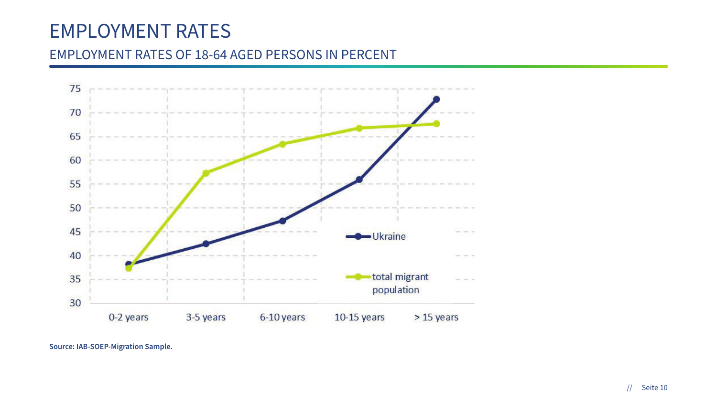### EMPLOYMENT RATES

#### EMPLOYMENT RATES OF 18-64 AGED PERSONS IN PERCENT



**Source: IAB-SOEP-Migration Sample.**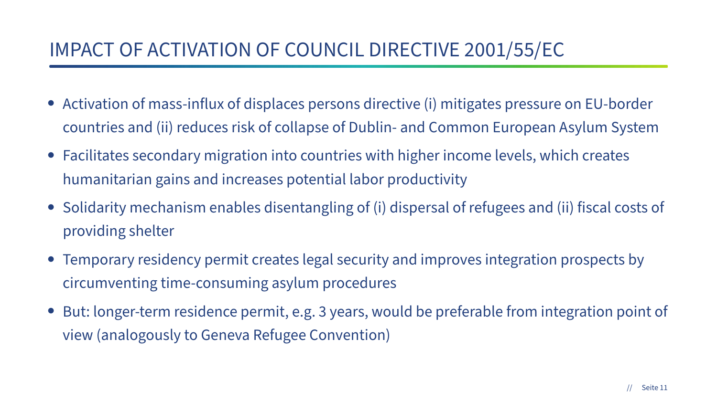### IMPACT OF ACTIVATION OF COUNCIL DIRECTIVE 2001/55/EC

- Activation of mass-influx of displaces persons directive (i) mitigates pressure on EU-border countries and (ii) reduces risk of collapse of Dublin- and Common European Asylum System
- Facilitates secondary migration into countries with higher income levels, which creates humanitarian gains and increases potential labor productivity
- Solidarity mechanism enables disentangling of (i) dispersal of refugees and (ii) fiscal costs of providing shelter
- Temporary residency permit creates legal security and improves integration prospects by circumventing time-consuming asylum procedures
- But: longer-term residence permit, e.g. 3 years, would be preferable from integration point of view (analogously to Geneva Refugee Convention)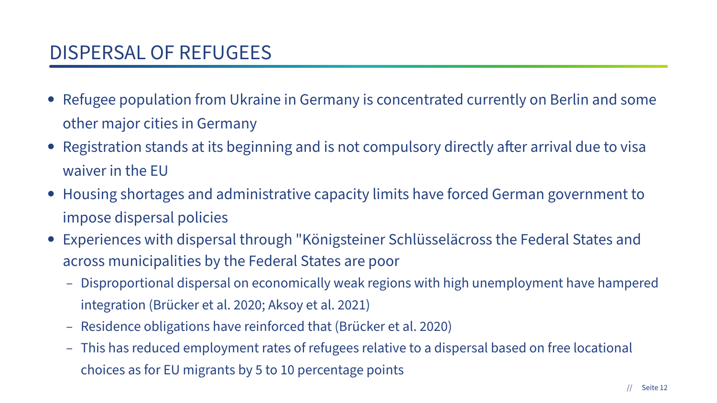- Refugee population from Ukraine in Germany is concentrated currently on Berlin and some other major cities in Germany
- Registration stands at its beginning and is not compulsory directly after arrival due to visa waiver in the EU
- Housing shortages and administrative capacity limits have forced German government to impose dispersal policies
- Experiences with dispersal through "Königsteiner Schlüsseläcross the Federal States and across municipalities by the Federal States are poor
	- Disproportional dispersal on economically weak regions with high unemployment have hampered integration (Brücker et al. 2020; Aksoy et al. 2021)
	- Residence obligations have reinforced that (Brücker et al. 2020)
	- This has reduced employment rates of refugees relative to a dispersal based on free locational choices as for EU migrants by 5 to 10 percentage points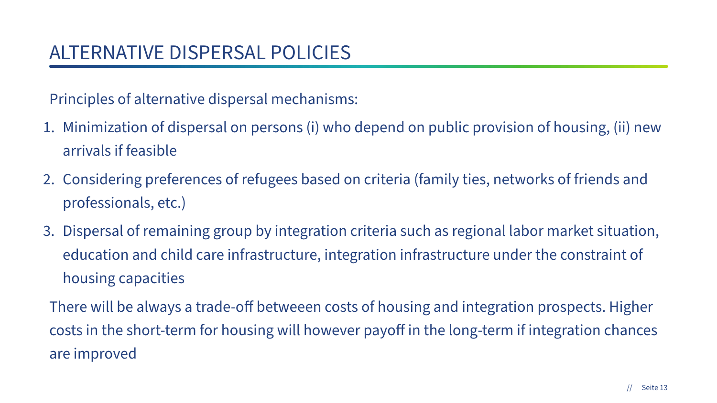Principles of alternative dispersal mechanisms:

- 1. Minimization of dispersal on persons (i) who depend on public provision of housing, (ii) new arrivals if feasible
- 2. Considering preferences of refugees based on criteria (family ties, networks of friends and professionals, etc.)
- 3. Dispersal of remaining group by integration criteria such as regional labor market situation, education and child care infrastructure, integration infrastructure under the constraint of housing capacities

There will be always a trade-off betweeen costs of housing and integration prospects. Higher costs in the short-term for housing will however payoff in the long-term if integration chances are improved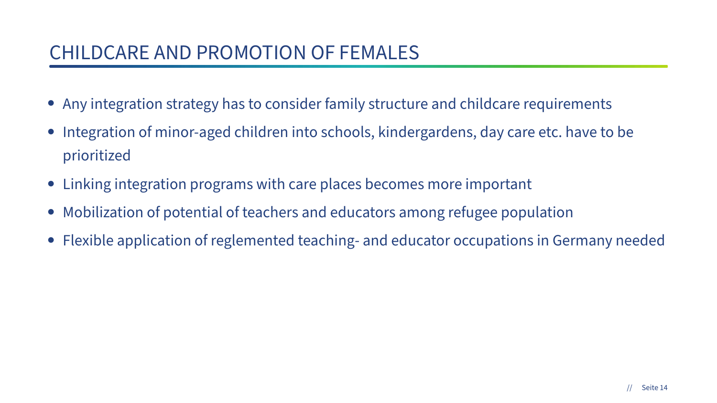### CHILDCARE AND PROMOTION OF FEMALES

- Any integration strategy has to consider family structure and childcare requirements
- Integration of minor-aged children into schools, kindergardens, day care etc. have to be prioritized
- Linking integration programs with care places becomes more important
- Mobilization of potential of teachers and educators among refugee population
- Flexible application of reglemented teaching- and educator occupations in Germany needed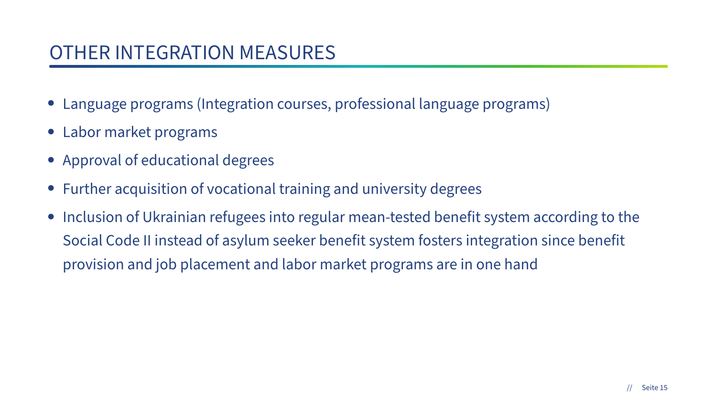### OTHER INTEGRATION MEASURES

- Language programs (Integration courses, professional language programs)
- Labor market programs
- Approval of educational degrees
- Further acquisition of vocational training and university degrees
- Inclusion of Ukrainian refugees into regular mean-tested benefit system according to the Social Code II instead of asylum seeker benefit system fosters integration since benefit provision and job placement and labor market programs are in one hand